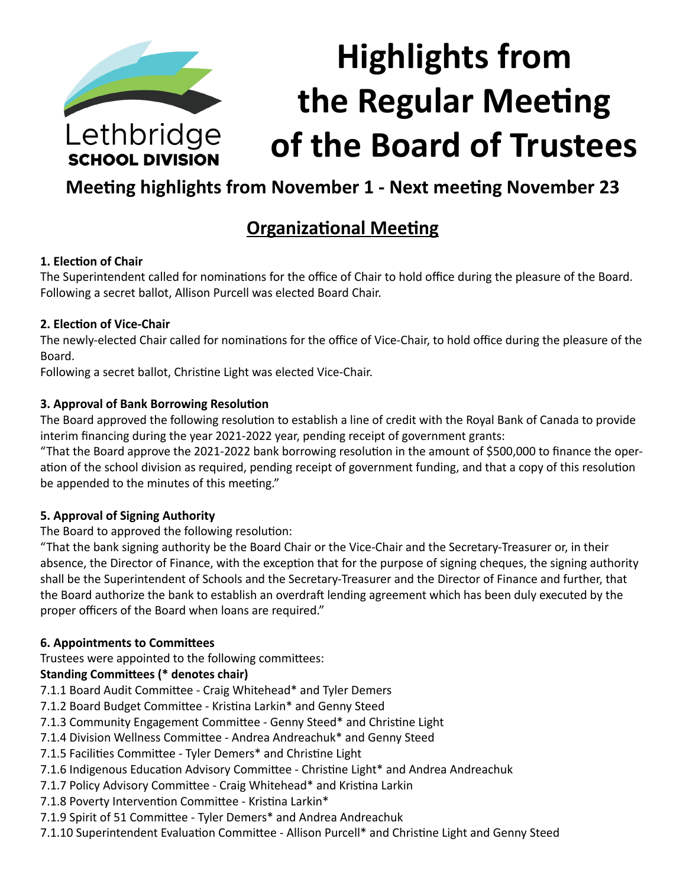

**SCHOOL DIVISION** 

# **Highlights from the Regular Meeting of the Board of Trustees**

# **Meeting highlights from November 1 - Next meeting November 23**

# **Organizational Meeting**

#### **1. Election of Chair**

The Superintendent called for nominations for the office of Chair to hold office during the pleasure of the Board. Following a secret ballot, Allison Purcell was elected Board Chair.

#### **2. Election of Vice-Chair**

The newly-elected Chair called for nominations for the office of Vice-Chair, to hold office during the pleasure of the Board.

Following a secret ballot, Christine Light was elected Vice-Chair.

#### **3. Approval of Bank Borrowing Resolution**

The Board approved the following resolution to establish a line of credit with the Royal Bank of Canada to provide interim financing during the year 2021-2022 year, pending receipt of government grants:

"That the Board approve the 2021-2022 bank borrowing resolution in the amount of \$500,000 to finance the operation of the school division as required, pending receipt of government funding, and that a copy of this resolution be appended to the minutes of this meeting."

#### **5. Approval of Signing Authority**

The Board to approved the following resolution:

"That the bank signing authority be the Board Chair or the Vice-Chair and the Secretary-Treasurer or, in their absence, the Director of Finance, with the exception that for the purpose of signing cheques, the signing authority shall be the Superintendent of Schools and the Secretary-Treasurer and the Director of Finance and further, that the Board authorize the bank to establish an overdraft lending agreement which has been duly executed by the proper officers of the Board when loans are required."

#### **6. Appointments to Committees**

Trustees were appointed to the following committees:

#### **Standing Committees (\* denotes chair)**

- 7.1.1 Board Audit Committee Craig Whitehead\* and Tyler Demers
- 7.1.2 Board Budget Committee Kristina Larkin\* and Genny Steed
- 7.1.3 Community Engagement Committee Genny Steed\* and Christine Light
- 7.1.4 Division Wellness Committee Andrea Andreachuk\* and Genny Steed
- 7.1.5 Facilities Committee Tyler Demers\* and Christine Light
- 7.1.6 Indigenous Education Advisory Committee Christine Light\* and Andrea Andreachuk
- 7.1.7 Policy Advisory Committee Craig Whitehead\* and Kristina Larkin
- 7.1.8 Poverty Intervention Committee Kristina Larkin\*
- 7.1.9 Spirit of 51 Committee Tyler Demers\* and Andrea Andreachuk
- 7.1.10 Superintendent Evaluation Committee Allison Purcell\* and Christine Light and Genny Steed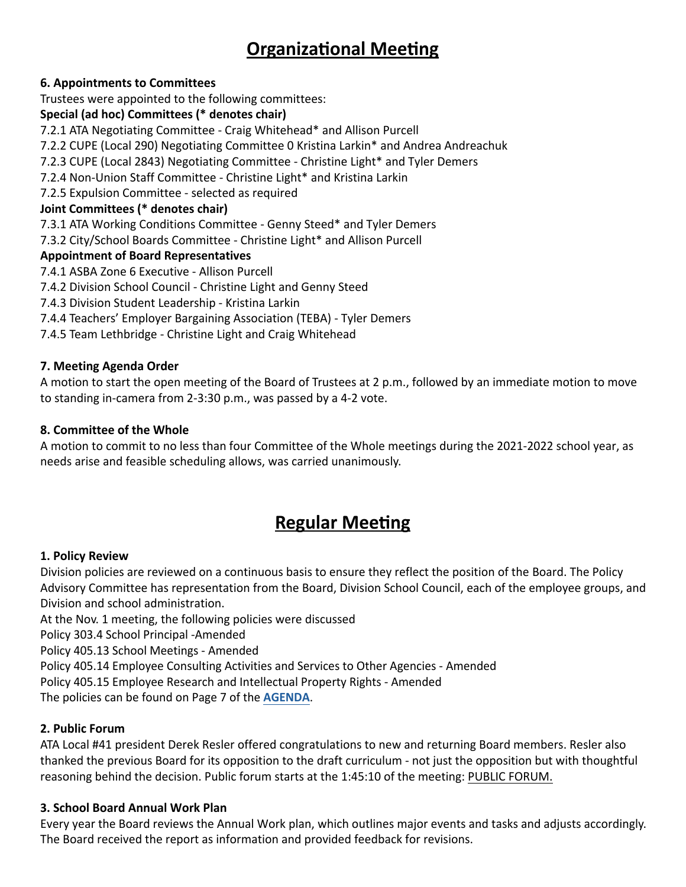# **Organizational Meeting**

#### **6. Appointments to Committees**

Trustees were appointed to the following committees:

#### **Special (ad hoc) Committees (\* denotes chair)**

7.2.1 ATA Negotiating Committee - Craig Whitehead\* and Allison Purcell

7.2.2 CUPE (Local 290) Negotiating Committee 0 Kristina Larkin\* and Andrea Andreachuk

7.2.3 CUPE (Local 2843) Negotiating Committee - Christine Light\* and Tyler Demers

7.2.4 Non-Union Staff Committee - Christine Light\* and Kristina Larkin

7.2.5 Expulsion Committee - selected as required

#### **Joint Committees (\* denotes chair)**

7.3.1 ATA Working Conditions Committee - Genny Steed\* and Tyler Demers

7.3.2 City/School Boards Committee - Christine Light\* and Allison Purcell

#### **Appointment of Board Representatives**

- 7.4.1 ASBA Zone 6 Executive Allison Purcell
- 7.4.2 Division School Council Christine Light and Genny Steed
- 7.4.3 Division Student Leadership Kristina Larkin
- 7.4.4 Teachers' Employer Bargaining Association (TEBA) Tyler Demers
- 7.4.5 Team Lethbridge Christine Light and Craig Whitehead

#### **7. Meeting Agenda Order**

A motion to start the open meeting of the Board of Trustees at 2 p.m., followed by an immediate motion to move to standing in-camera from 2-3:30 p.m., was passed by a 4-2 vote.

#### **8. Committee of the Whole**

A motion to commit to no less than four Committee of the Whole meetings during the 2021-2022 school year, as needs arise and feasible scheduling allows, was carried unanimously.

## **Regular Meeting**

#### **1. Policy Review**

Division policies are reviewed on a continuous basis to ensure they reflect the position of the Board. The Policy Advisory Committee has representation from the Board, Division School Council, each of the employee groups, and Division and school administration.

At the Nov. 1 meeting, the following policies were discussed

Policy 303.4 School Principal -Amended

Policy 405.13 School Meetings - Amended

Policy 405.14 Employee Consulting Activities and Services to Other Agencies - Amended

Policy 405.15 Employee Research and Intellectual Property Rights - Amended

The policies can be found on Page 7 of the **[AGENDA](https://www.lethsd.ab.ca/download/370784)**.

#### **2. Public Forum**

ATA Local #41 president Derek Resler offered congratulations to new and returning Board members. Resler also thanked the previous Board for its opposition to the draft curriculum - not just the opposition but with thoughtful reasoning behind the decision. Public forum starts at the 1:45:10 of the meeting: [PUBLIC FORUM.](https://www.youtube.com/watch?v=lvlU9kuWgo0)

#### **3. School Board Annual Work Plan**

Every year the Board reviews the Annual Work plan, which outlines major events and tasks and adjusts accordingly. The Board received the report as information and provided feedback for revisions.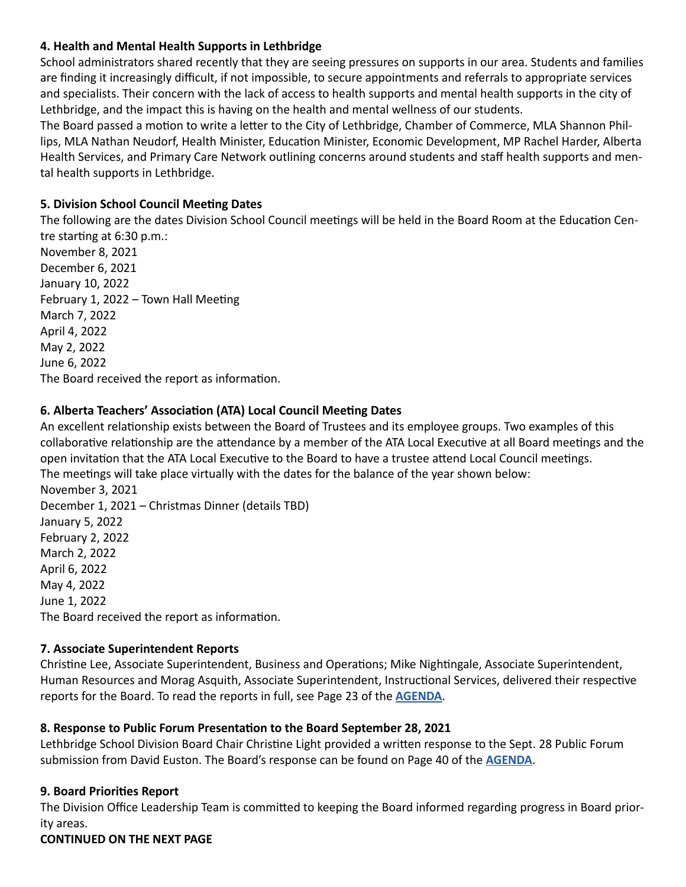#### **4. Health and Mental Health Supports in Lethbridge**

School administrators shared recently that they are seeing pressures on supports in our area. Students and families are finding it increasingly difficult, if not impossible, to secure appointments and referrals to appropriate services and specialists. Their concern with the lack of access to health supports and mental health supports in the city of Lethbridge, and the impact this is having on the health and mental wellness of our students.

The Board passed a motion to write a letter to the City of Lethbridge, Chamber of Commerce, MLA Shannon Phillips, MLA Nathan Neudorf, Health Minister, Education Minister, Economic Development, MP Rachel Harder, Alberta Health Services, and Primary Care Network outlining concerns around students and staff health supports and mental health supports in Lethbridge.

#### **5. Division School Council Meeting Dates**

The following are the dates Division School Council meetings will be held in the Board Room at the Education Centre starting at 6:30 p.m.:

November 8, 2021 December 6, 2021 January 10, 2022 February 1, 2022 – Town Hall Meeting March 7, 2022 April 4, 2022 May 2, 2022 June 6, 2022 The Board received the report as information.

#### **6. Alberta Teachers' Association (ATA) Local Council Meeting Dates**

An excellent relationship exists between the Board of Trustees and its employee groups. Two examples of this collaborative relationship are the attendance by a member of the ATA Local Executive at all Board meetings and the open invitation that the ATA Local Executive to the Board to have a trustee attend Local Council meetings. The meetings will take place virtually with the dates for the balance of the year shown below: November 3, 2021 December 1, 2021 – Christmas Dinner (details TBD) January 5, 2022 February 2, 2022 March 2, 2022 April 6, 2022 May 4, 2022 June 1, 2022

The Board received the report as information.

#### **7. Associate Superintendent Reports**

Christine Lee, Associate Superintendent, Business and Operations; Mike Nightingale, Associate Superintendent, Human Resources and Morag Asquith, Associate Superintendent, Instructional Services, delivered their respective reports for the Board. To read the reports in full, see Page 23 of the **[AGENDA](https://www.lethsd.ab.ca/download/370784)**.

#### **8. Response to Public Forum Presentation to the Board September 28, 2021**

Lethbridge School Division Board Chair Christine Light provided a written response to the Sept. 28 Public Forum submission from David Euston. The Board's response can be found on Page 40 of the **[AGENDA](https://www.lethsd.ab.ca/download/370784)**.

#### **9. Board Priorities Report**

The Division Office Leadership Team is committed to keeping the Board informed regarding progress in Board priority areas.

#### **CONTINUED ON THE NEXT PAGE**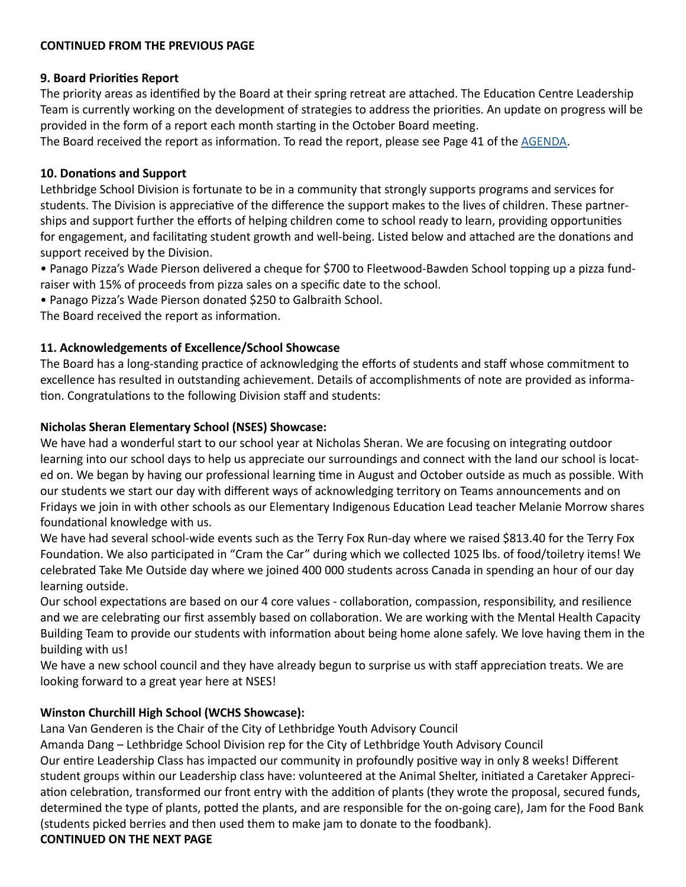#### **CONTINUED FROM THE PREVIOUS PAGE**

#### **9. Board Priorities Report**

The priority areas as identified by the Board at their spring retreat are attached. The Education Centre Leadership Team is currently working on the development of strategies to address the priorities. An update on progress will be provided in the form of a report each month starting in the October Board meeting.

The Board received the report as information. To read the report, please see Page 41 of the [AGENDA](https://www.lethsd.ab.ca/download/370784).

#### **10. Donations and Support**

Lethbridge School Division is fortunate to be in a community that strongly supports programs and services for students. The Division is appreciative of the difference the support makes to the lives of children. These partnerships and support further the efforts of helping children come to school ready to learn, providing opportunities for engagement, and facilitating student growth and well-being. Listed below and attached are the donations and support received by the Division.

• Panago Pizza's Wade Pierson delivered a cheque for \$700 to Fleetwood-Bawden School topping up a pizza fundraiser with 15% of proceeds from pizza sales on a specific date to the school.

• Panago Pizza's Wade Pierson donated \$250 to Galbraith School.

The Board received the report as information.

#### **11. Acknowledgements of Excellence/School Showcase**

The Board has a long-standing practice of acknowledging the efforts of students and staff whose commitment to excellence has resulted in outstanding achievement. Details of accomplishments of note are provided as information. Congratulations to the following Division staff and students:

#### **Nicholas Sheran Elementary School (NSES) Showcase:**

We have had a wonderful start to our school year at Nicholas Sheran. We are focusing on integrating outdoor learning into our school days to help us appreciate our surroundings and connect with the land our school is located on. We began by having our professional learning time in August and October outside as much as possible. With our students we start our day with different ways of acknowledging territory on Teams announcements and on Fridays we join in with other schools as our Elementary Indigenous Education Lead teacher Melanie Morrow shares foundational knowledge with us.

We have had several school-wide events such as the Terry Fox Run-day where we raised \$813.40 for the Terry Fox Foundation. We also participated in "Cram the Car" during which we collected 1025 lbs. of food/toiletry items! We celebrated Take Me Outside day where we joined 400 000 students across Canada in spending an hour of our day learning outside.

Our school expectations are based on our 4 core values - collaboration, compassion, responsibility, and resilience and we are celebrating our first assembly based on collaboration. We are working with the Mental Health Capacity Building Team to provide our students with information about being home alone safely. We love having them in the building with us!

We have a new school council and they have already begun to surprise us with staff appreciation treats. We are looking forward to a great year here at NSES!

#### **Winston Churchill High School (WCHS Showcase):**

Lana Van Genderen is the Chair of the City of Lethbridge Youth Advisory Council

Amanda Dang – Lethbridge School Division rep for the City of Lethbridge Youth Advisory Council

Our entire Leadership Class has impacted our community in profoundly positive way in only 8 weeks! Different student groups within our Leadership class have: volunteered at the Animal Shelter, initiated a Caretaker Appreciation celebration, transformed our front entry with the addition of plants (they wrote the proposal, secured funds, determined the type of plants, potted the plants, and are responsible for the on-going care), Jam for the Food Bank (students picked berries and then used them to make jam to donate to the foodbank).

#### **CONTINUED ON THE NEXT PAGE**